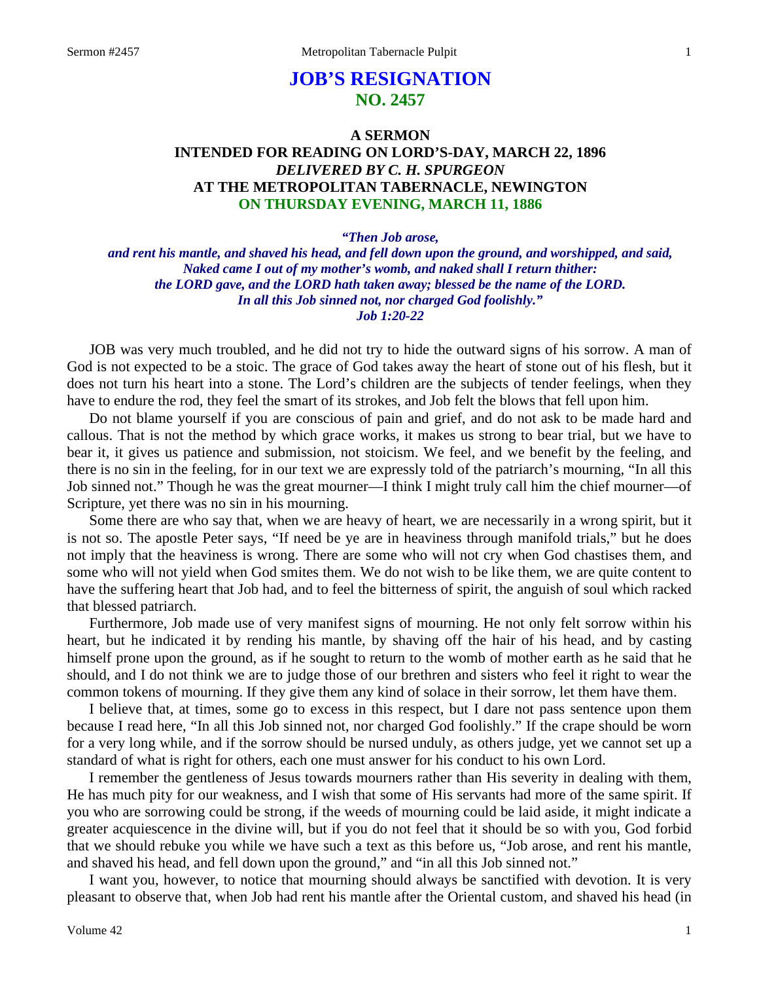# **JOB'S RESIGNATION NO. 2457**

## **A SERMON INTENDED FOR READING ON LORD'S-DAY, MARCH 22, 1896**  *DELIVERED BY C. H. SPURGEON*  **AT THE METROPOLITAN TABERNACLE, NEWINGTON ON THURSDAY EVENING, MARCH 11, 1886**

*"Then Job arose,* 

*and rent his mantle, and shaved his head, and fell down upon the ground, and worshipped, and said, Naked came I out of my mother's womb, and naked shall I return thither: the LORD gave, and the LORD hath taken away; blessed be the name of the LORD. In all this Job sinned not, nor charged God foolishly." Job 1:20-22* 

JOB was very much troubled, and he did not try to hide the outward signs of his sorrow. A man of God is not expected to be a stoic. The grace of God takes away the heart of stone out of his flesh, but it does not turn his heart into a stone. The Lord's children are the subjects of tender feelings, when they have to endure the rod, they feel the smart of its strokes, and Job felt the blows that fell upon him.

Do not blame yourself if you are conscious of pain and grief, and do not ask to be made hard and callous. That is not the method by which grace works, it makes us strong to bear trial, but we have to bear it, it gives us patience and submission, not stoicism. We feel, and we benefit by the feeling, and there is no sin in the feeling, for in our text we are expressly told of the patriarch's mourning, "In all this Job sinned not." Though he was the great mourner—I think I might truly call him the chief mourner—of Scripture, yet there was no sin in his mourning.

Some there are who say that, when we are heavy of heart, we are necessarily in a wrong spirit, but it is not so. The apostle Peter says, "If need be ye are in heaviness through manifold trials," but he does not imply that the heaviness is wrong. There are some who will not cry when God chastises them, and some who will not yield when God smites them. We do not wish to be like them, we are quite content to have the suffering heart that Job had, and to feel the bitterness of spirit, the anguish of soul which racked that blessed patriarch.

Furthermore, Job made use of very manifest signs of mourning. He not only felt sorrow within his heart, but he indicated it by rending his mantle, by shaving off the hair of his head, and by casting himself prone upon the ground, as if he sought to return to the womb of mother earth as he said that he should, and I do not think we are to judge those of our brethren and sisters who feel it right to wear the common tokens of mourning. If they give them any kind of solace in their sorrow, let them have them.

I believe that, at times, some go to excess in this respect, but I dare not pass sentence upon them because I read here, "In all this Job sinned not, nor charged God foolishly." If the crape should be worn for a very long while, and if the sorrow should be nursed unduly, as others judge, yet we cannot set up a standard of what is right for others, each one must answer for his conduct to his own Lord.

I remember the gentleness of Jesus towards mourners rather than His severity in dealing with them, He has much pity for our weakness, and I wish that some of His servants had more of the same spirit. If you who are sorrowing could be strong, if the weeds of mourning could be laid aside, it might indicate a greater acquiescence in the divine will, but if you do not feel that it should be so with you, God forbid that we should rebuke you while we have such a text as this before us, "Job arose, and rent his mantle, and shaved his head, and fell down upon the ground," and "in all this Job sinned not."

I want you, however, to notice that mourning should always be sanctified with devotion. It is very pleasant to observe that, when Job had rent his mantle after the Oriental custom, and shaved his head (in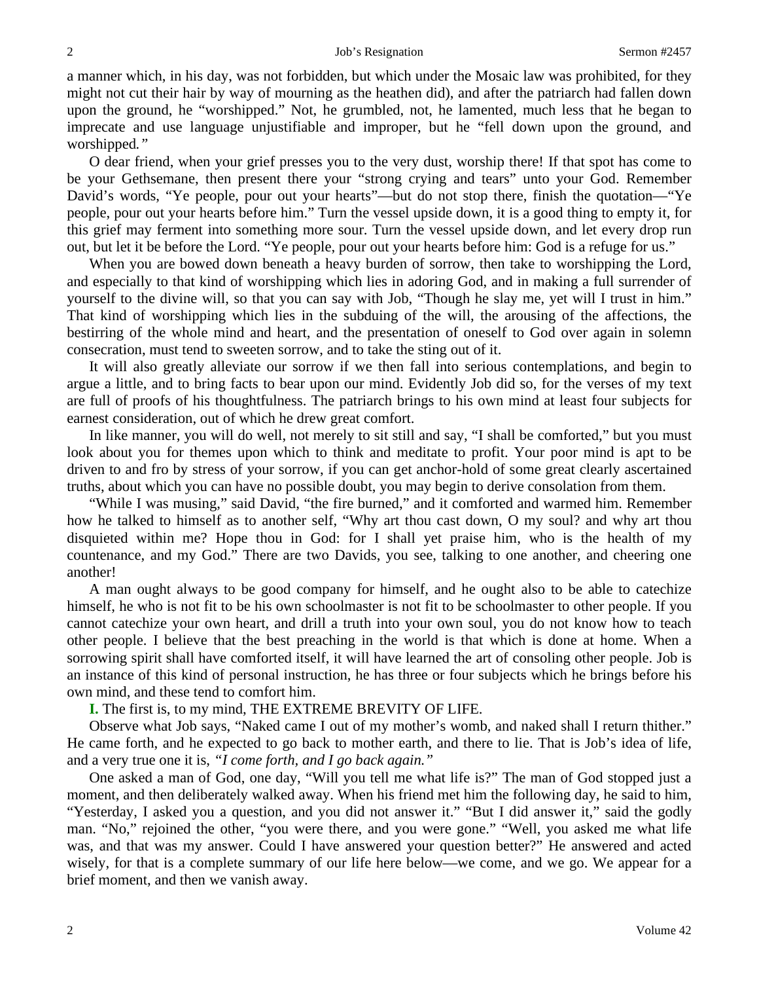a manner which, in his day, was not forbidden, but which under the Mosaic law was prohibited, for they might not cut their hair by way of mourning as the heathen did), and after the patriarch had fallen down upon the ground, he "worshipped." Not, he grumbled, not, he lamented, much less that he began to imprecate and use language unjustifiable and improper, but he "fell down upon the ground, and worshipped*."*

O dear friend, when your grief presses you to the very dust, worship there! If that spot has come to be your Gethsemane, then present there your "strong crying and tears" unto your God. Remember David's words, "Ye people, pour out your hearts"—but do not stop there, finish the quotation—"Ye people, pour out your hearts before him." Turn the vessel upside down, it is a good thing to empty it, for this grief may ferment into something more sour. Turn the vessel upside down, and let every drop run out, but let it be before the Lord. "Ye people, pour out your hearts before him: God is a refuge for us."

When you are bowed down beneath a heavy burden of sorrow, then take to worshipping the Lord, and especially to that kind of worshipping which lies in adoring God, and in making a full surrender of yourself to the divine will, so that you can say with Job, "Though he slay me, yet will I trust in him." That kind of worshipping which lies in the subduing of the will, the arousing of the affections, the bestirring of the whole mind and heart, and the presentation of oneself to God over again in solemn consecration, must tend to sweeten sorrow, and to take the sting out of it.

It will also greatly alleviate our sorrow if we then fall into serious contemplations, and begin to argue a little, and to bring facts to bear upon our mind. Evidently Job did so, for the verses of my text are full of proofs of his thoughtfulness. The patriarch brings to his own mind at least four subjects for earnest consideration, out of which he drew great comfort.

In like manner, you will do well, not merely to sit still and say, "I shall be comforted," but you must look about you for themes upon which to think and meditate to profit. Your poor mind is apt to be driven to and fro by stress of your sorrow, if you can get anchor-hold of some great clearly ascertained truths, about which you can have no possible doubt, you may begin to derive consolation from them.

"While I was musing," said David, "the fire burned," and it comforted and warmed him. Remember how he talked to himself as to another self, "Why art thou cast down, O my soul? and why art thou disquieted within me? Hope thou in God: for I shall yet praise him, who is the health of my countenance, and my God." There are two Davids, you see, talking to one another, and cheering one another!

A man ought always to be good company for himself, and he ought also to be able to catechize himself, he who is not fit to be his own schoolmaster is not fit to be schoolmaster to other people. If you cannot catechize your own heart, and drill a truth into your own soul, you do not know how to teach other people. I believe that the best preaching in the world is that which is done at home. When a sorrowing spirit shall have comforted itself, it will have learned the art of consoling other people. Job is an instance of this kind of personal instruction, he has three or four subjects which he brings before his own mind, and these tend to comfort him.

**I.** The first is, to my mind, THE EXTREME BREVITY OF LIFE.

Observe what Job says, "Naked came I out of my mother's womb, and naked shall I return thither." He came forth, and he expected to go back to mother earth, and there to lie. That is Job's idea of life, and a very true one it is, *"I come forth, and I go back again."*

One asked a man of God, one day, "Will you tell me what life is?" The man of God stopped just a moment, and then deliberately walked away. When his friend met him the following day, he said to him, "Yesterday, I asked you a question, and you did not answer it." "But I did answer it," said the godly man. "No," rejoined the other, "you were there, and you were gone." "Well, you asked me what life was, and that was my answer. Could I have answered your question better?" He answered and acted wisely, for that is a complete summary of our life here below—we come, and we go. We appear for a brief moment, and then we vanish away.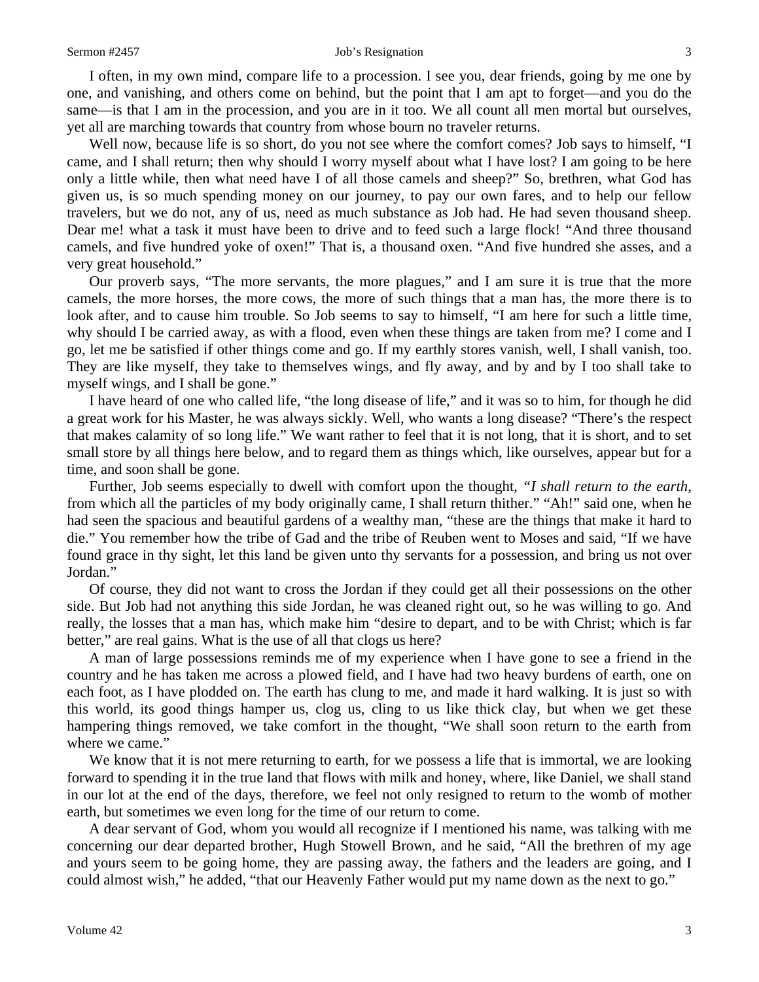#### Sermon #2457 Job's Resignation 3

I often, in my own mind, compare life to a procession. I see you, dear friends, going by me one by one, and vanishing, and others come on behind, but the point that I am apt to forget—and you do the same—is that I am in the procession, and you are in it too. We all count all men mortal but ourselves, yet all are marching towards that country from whose bourn no traveler returns.

Well now, because life is so short, do you not see where the comfort comes? Job says to himself, "I came, and I shall return; then why should I worry myself about what I have lost? I am going to be here only a little while, then what need have I of all those camels and sheep?" So, brethren, what God has given us, is so much spending money on our journey, to pay our own fares, and to help our fellow travelers, but we do not, any of us, need as much substance as Job had. He had seven thousand sheep. Dear me! what a task it must have been to drive and to feed such a large flock! "And three thousand camels, and five hundred yoke of oxen!" That is, a thousand oxen. "And five hundred she asses, and a very great household."

Our proverb says, "The more servants, the more plagues," and I am sure it is true that the more camels, the more horses, the more cows, the more of such things that a man has, the more there is to look after, and to cause him trouble. So Job seems to say to himself, "I am here for such a little time, why should I be carried away, as with a flood, even when these things are taken from me? I come and I go, let me be satisfied if other things come and go. If my earthly stores vanish, well, I shall vanish, too. They are like myself, they take to themselves wings, and fly away, and by and by I too shall take to myself wings, and I shall be gone."

I have heard of one who called life, "the long disease of life," and it was so to him, for though he did a great work for his Master, he was always sickly. Well, who wants a long disease? "There's the respect that makes calamity of so long life." We want rather to feel that it is not long, that it is short, and to set small store by all things here below, and to regard them as things which, like ourselves, appear but for a time, and soon shall be gone.

Further, Job seems especially to dwell with comfort upon the thought, *"I shall return to the earth*, from which all the particles of my body originally came, I shall return thither." "Ah!" said one, when he had seen the spacious and beautiful gardens of a wealthy man, "these are the things that make it hard to die." You remember how the tribe of Gad and the tribe of Reuben went to Moses and said, "If we have found grace in thy sight, let this land be given unto thy servants for a possession, and bring us not over Jordan."

Of course, they did not want to cross the Jordan if they could get all their possessions on the other side. But Job had not anything this side Jordan, he was cleaned right out, so he was willing to go. And really, the losses that a man has, which make him "desire to depart, and to be with Christ; which is far better," are real gains. What is the use of all that clogs us here?

A man of large possessions reminds me of my experience when I have gone to see a friend in the country and he has taken me across a plowed field, and I have had two heavy burdens of earth, one on each foot, as I have plodded on. The earth has clung to me, and made it hard walking. It is just so with this world, its good things hamper us, clog us, cling to us like thick clay, but when we get these hampering things removed, we take comfort in the thought, "We shall soon return to the earth from where we came."

We know that it is not mere returning to earth, for we possess a life that is immortal, we are looking forward to spending it in the true land that flows with milk and honey, where, like Daniel, we shall stand in our lot at the end of the days, therefore, we feel not only resigned to return to the womb of mother earth, but sometimes we even long for the time of our return to come.

A dear servant of God, whom you would all recognize if I mentioned his name, was talking with me concerning our dear departed brother, Hugh Stowell Brown, and he said, "All the brethren of my age and yours seem to be going home, they are passing away, the fathers and the leaders are going, and I could almost wish," he added, "that our Heavenly Father would put my name down as the next to go."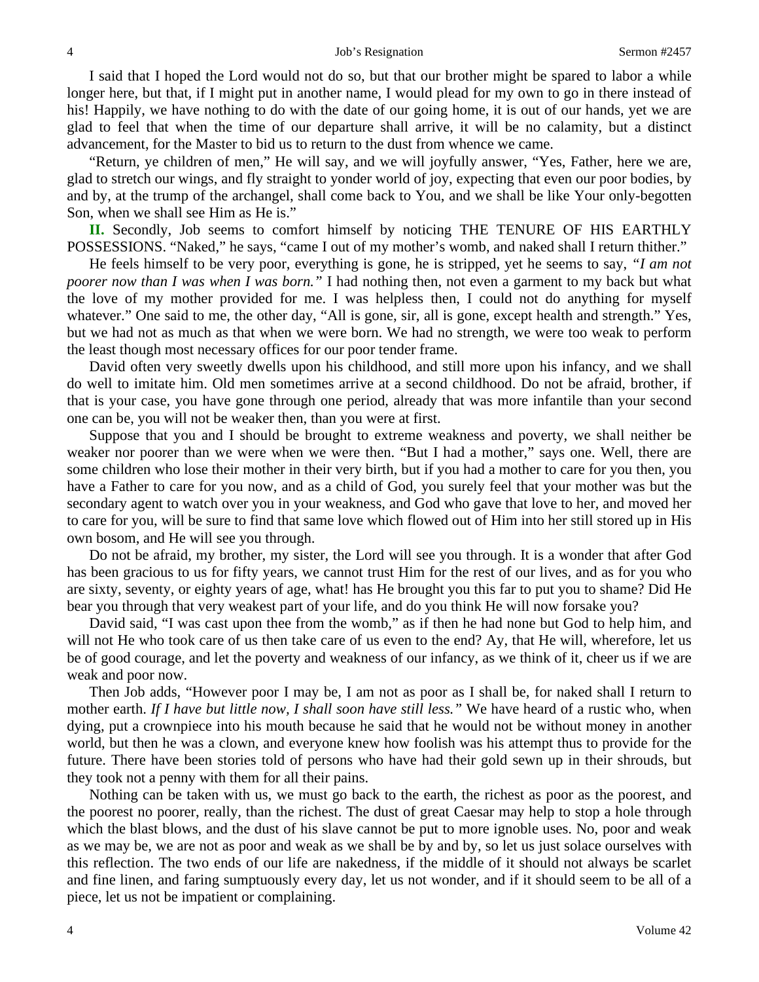I said that I hoped the Lord would not do so, but that our brother might be spared to labor a while longer here, but that, if I might put in another name, I would plead for my own to go in there instead of his! Happily, we have nothing to do with the date of our going home, it is out of our hands, yet we are glad to feel that when the time of our departure shall arrive, it will be no calamity, but a distinct advancement, for the Master to bid us to return to the dust from whence we came.

"Return, ye children of men," He will say, and we will joyfully answer, "Yes, Father, here we are, glad to stretch our wings, and fly straight to yonder world of joy, expecting that even our poor bodies, by and by, at the trump of the archangel, shall come back to You, and we shall be like Your only-begotten Son, when we shall see Him as He is."

**II.** Secondly, Job seems to comfort himself by noticing THE TENURE OF HIS EARTHLY POSSESSIONS. "Naked," he says, "came I out of my mother's womb, and naked shall I return thither."

He feels himself to be very poor, everything is gone, he is stripped, yet he seems to say, *"I am not poorer now than I was when I was born."* I had nothing then, not even a garment to my back but what the love of my mother provided for me. I was helpless then, I could not do anything for myself whatever." One said to me, the other day, "All is gone, sir, all is gone, except health and strength." Yes, but we had not as much as that when we were born. We had no strength, we were too weak to perform the least though most necessary offices for our poor tender frame.

David often very sweetly dwells upon his childhood, and still more upon his infancy, and we shall do well to imitate him. Old men sometimes arrive at a second childhood. Do not be afraid, brother, if that is your case, you have gone through one period, already that was more infantile than your second one can be, you will not be weaker then, than you were at first.

Suppose that you and I should be brought to extreme weakness and poverty, we shall neither be weaker nor poorer than we were when we were then. "But I had a mother," says one. Well, there are some children who lose their mother in their very birth, but if you had a mother to care for you then, you have a Father to care for you now, and as a child of God, you surely feel that your mother was but the secondary agent to watch over you in your weakness, and God who gave that love to her, and moved her to care for you, will be sure to find that same love which flowed out of Him into her still stored up in His own bosom, and He will see you through.

Do not be afraid, my brother, my sister, the Lord will see you through. It is a wonder that after God has been gracious to us for fifty years, we cannot trust Him for the rest of our lives, and as for you who are sixty, seventy, or eighty years of age, what! has He brought you this far to put you to shame? Did He bear you through that very weakest part of your life, and do you think He will now forsake you?

David said, "I was cast upon thee from the womb," as if then he had none but God to help him, and will not He who took care of us then take care of us even to the end? Ay, that He will, wherefore, let us be of good courage, and let the poverty and weakness of our infancy, as we think of it, cheer us if we are weak and poor now.

Then Job adds, "However poor I may be, I am not as poor as I shall be, for naked shall I return to mother earth. *If I have but little now, I shall soon have still less."* We have heard of a rustic who, when dying, put a crownpiece into his mouth because he said that he would not be without money in another world, but then he was a clown, and everyone knew how foolish was his attempt thus to provide for the future. There have been stories told of persons who have had their gold sewn up in their shrouds, but they took not a penny with them for all their pains.

Nothing can be taken with us, we must go back to the earth, the richest as poor as the poorest, and the poorest no poorer, really, than the richest. The dust of great Caesar may help to stop a hole through which the blast blows, and the dust of his slave cannot be put to more ignoble uses. No, poor and weak as we may be, we are not as poor and weak as we shall be by and by, so let us just solace ourselves with this reflection. The two ends of our life are nakedness, if the middle of it should not always be scarlet and fine linen, and faring sumptuously every day, let us not wonder, and if it should seem to be all of a piece, let us not be impatient or complaining.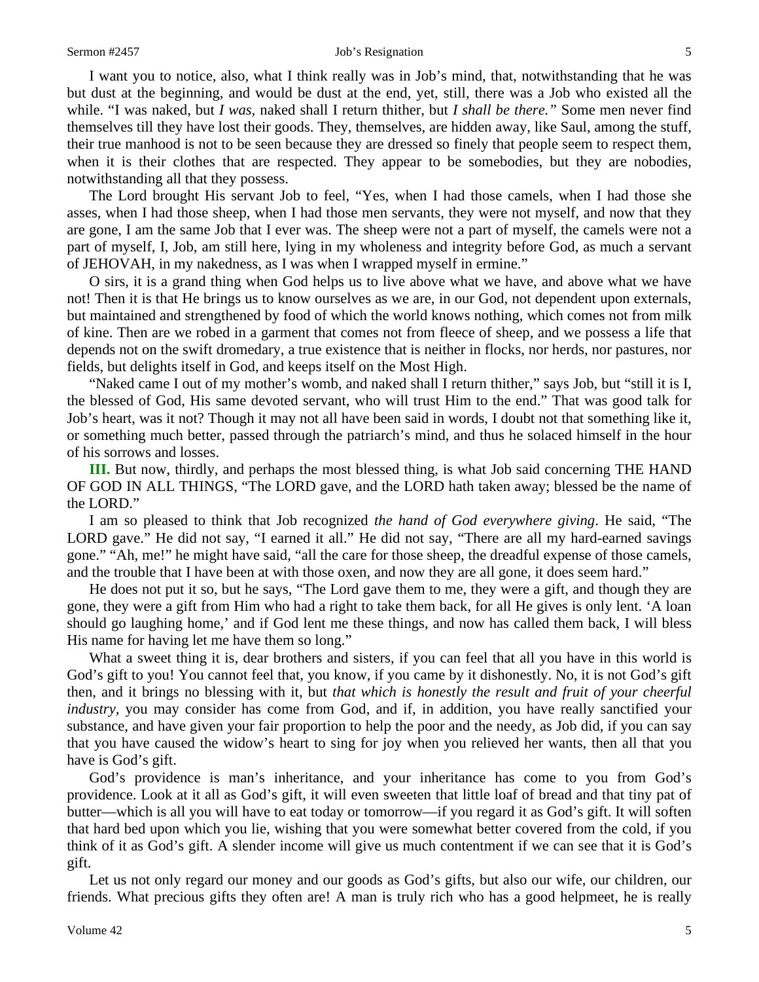#### Sermon #2457 Job's Resignation 5

I want you to notice, also, what I think really was in Job's mind, that, notwithstanding that he was but dust at the beginning, and would be dust at the end, yet, still, there was a Job who existed all the while. "I was naked, but *I was,* naked shall I return thither, but *I shall be there."* Some men never find themselves till they have lost their goods. They, themselves, are hidden away, like Saul, among the stuff, their true manhood is not to be seen because they are dressed so finely that people seem to respect them, when it is their clothes that are respected. They appear to be somebodies, but they are nobodies, notwithstanding all that they possess.

The Lord brought His servant Job to feel, "Yes, when I had those camels, when I had those she asses, when I had those sheep, when I had those men servants, they were not myself, and now that they are gone, I am the same Job that I ever was. The sheep were not a part of myself, the camels were not a part of myself, I, Job, am still here, lying in my wholeness and integrity before God, as much a servant of JEHOVAH, in my nakedness, as I was when I wrapped myself in ermine."

O sirs, it is a grand thing when God helps us to live above what we have, and above what we have not! Then it is that He brings us to know ourselves as we are, in our God, not dependent upon externals, but maintained and strengthened by food of which the world knows nothing, which comes not from milk of kine. Then are we robed in a garment that comes not from fleece of sheep, and we possess a life that depends not on the swift dromedary, a true existence that is neither in flocks, nor herds, nor pastures, nor fields, but delights itself in God, and keeps itself on the Most High.

"Naked came I out of my mother's womb, and naked shall I return thither," says Job, but "still it is I, the blessed of God, His same devoted servant, who will trust Him to the end." That was good talk for Job's heart, was it not? Though it may not all have been said in words, I doubt not that something like it, or something much better, passed through the patriarch's mind, and thus he solaced himself in the hour of his sorrows and losses.

**III.** But now, thirdly, and perhaps the most blessed thing, is what Job said concerning THE HAND OF GOD IN ALL THINGS, "The LORD gave, and the LORD hath taken away; blessed be the name of the LORD."

I am so pleased to think that Job recognized *the hand of God everywhere giving*. He said, "The LORD gave." He did not say, "I earned it all." He did not say, "There are all my hard-earned savings gone." "Ah, me!" he might have said, "all the care for those sheep, the dreadful expense of those camels, and the trouble that I have been at with those oxen, and now they are all gone, it does seem hard."

He does not put it so, but he says, "The Lord gave them to me, they were a gift, and though they are gone, they were a gift from Him who had a right to take them back, for all He gives is only lent. 'A loan should go laughing home,' and if God lent me these things, and now has called them back, I will bless His name for having let me have them so long."

What a sweet thing it is, dear brothers and sisters, if you can feel that all you have in this world is God's gift to you! You cannot feel that, you know, if you came by it dishonestly. No, it is not God's gift then, and it brings no blessing with it, but *that which is honestly the result and fruit of your cheerful industry*, you may consider has come from God, and if, in addition, you have really sanctified your substance, and have given your fair proportion to help the poor and the needy, as Job did, if you can say that you have caused the widow's heart to sing for joy when you relieved her wants, then all that you have is God's gift.

God's providence is man's inheritance, and your inheritance has come to you from God's providence. Look at it all as God's gift, it will even sweeten that little loaf of bread and that tiny pat of butter—which is all you will have to eat today or tomorrow—if you regard it as God's gift. It will soften that hard bed upon which you lie, wishing that you were somewhat better covered from the cold, if you think of it as God's gift. A slender income will give us much contentment if we can see that it is God's gift.

Let us not only regard our money and our goods as God's gifts, but also our wife, our children, our friends. What precious gifts they often are! A man is truly rich who has a good helpmeet, he is really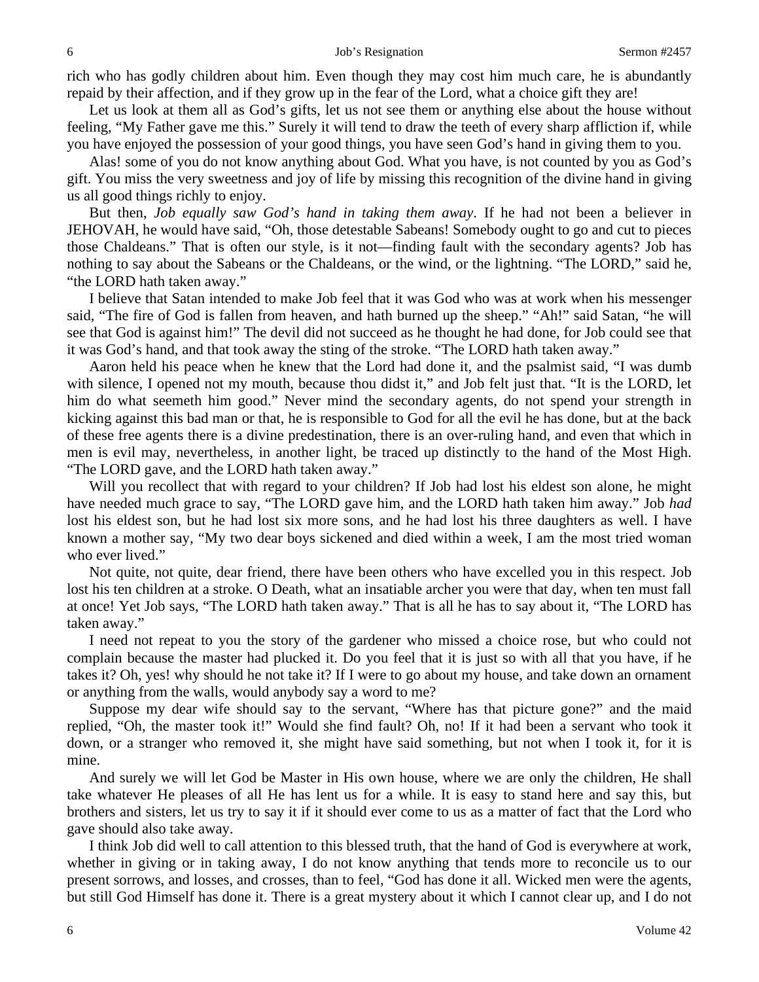rich who has godly children about him. Even though they may cost him much care, he is abundantly repaid by their affection, and if they grow up in the fear of the Lord, what a choice gift they are!

Let us look at them all as God's gifts, let us not see them or anything else about the house without feeling, "My Father gave me this." Surely it will tend to draw the teeth of every sharp affliction if, while you have enjoyed the possession of your good things, you have seen God's hand in giving them to you.

Alas! some of you do not know anything about God. What you have, is not counted by you as God's gift. You miss the very sweetness and joy of life by missing this recognition of the divine hand in giving us all good things richly to enjoy.

But then, *Job equally saw God's hand in taking them away*. If he had not been a believer in JEHOVAH, he would have said, "Oh, those detestable Sabeans! Somebody ought to go and cut to pieces those Chaldeans." That is often our style, is it not—finding fault with the secondary agents? Job has nothing to say about the Sabeans or the Chaldeans, or the wind, or the lightning. "The LORD," said he, "the LORD hath taken away."

I believe that Satan intended to make Job feel that it was God who was at work when his messenger said, "The fire of God is fallen from heaven, and hath burned up the sheep." "Ah!" said Satan, "he will see that God is against him!" The devil did not succeed as he thought he had done, for Job could see that it was God's hand, and that took away the sting of the stroke. "The LORD hath taken away."

Aaron held his peace when he knew that the Lord had done it, and the psalmist said, "I was dumb with silence, I opened not my mouth, because thou didst it," and Job felt just that. "It is the LORD, let him do what seemeth him good." Never mind the secondary agents, do not spend your strength in kicking against this bad man or that, he is responsible to God for all the evil he has done, but at the back of these free agents there is a divine predestination, there is an over-ruling hand, and even that which in men is evil may, nevertheless, in another light, be traced up distinctly to the hand of the Most High. "The LORD gave, and the LORD hath taken away."

Will you recollect that with regard to your children? If Job had lost his eldest son alone, he might have needed much grace to say, "The LORD gave him, and the LORD hath taken him away." Job *had*  lost his eldest son, but he had lost six more sons, and he had lost his three daughters as well. I have known a mother say, "My two dear boys sickened and died within a week, I am the most tried woman who ever lived."

Not quite, not quite, dear friend, there have been others who have excelled you in this respect. Job lost his ten children at a stroke. O Death, what an insatiable archer you were that day, when ten must fall at once! Yet Job says, "The LORD hath taken away." That is all he has to say about it, "The LORD has taken away."

I need not repeat to you the story of the gardener who missed a choice rose, but who could not complain because the master had plucked it. Do you feel that it is just so with all that you have, if he takes it? Oh, yes! why should he not take it? If I were to go about my house, and take down an ornament or anything from the walls, would anybody say a word to me?

Suppose my dear wife should say to the servant, "Where has that picture gone?" and the maid replied, "Oh, the master took it!" Would she find fault? Oh, no! If it had been a servant who took it down, or a stranger who removed it, she might have said something, but not when I took it, for it is mine.

And surely we will let God be Master in His own house, where we are only the children, He shall take whatever He pleases of all He has lent us for a while. It is easy to stand here and say this, but brothers and sisters, let us try to say it if it should ever come to us as a matter of fact that the Lord who gave should also take away.

I think Job did well to call attention to this blessed truth, that the hand of God is everywhere at work, whether in giving or in taking away, I do not know anything that tends more to reconcile us to our present sorrows, and losses, and crosses, than to feel, "God has done it all. Wicked men were the agents, but still God Himself has done it. There is a great mystery about it which I cannot clear up, and I do not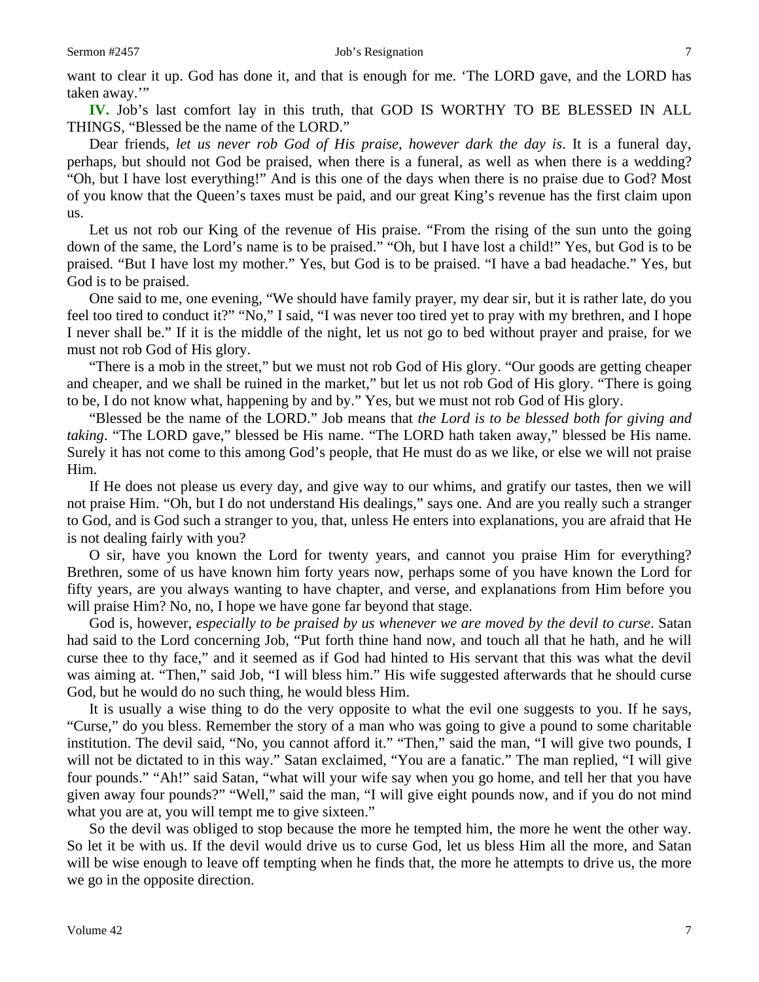**IV.** Job's last comfort lay in this truth, that GOD IS WORTHY TO BE BLESSED IN ALL THINGS, "Blessed be the name of the LORD."

Dear friends, *let us never rob God of His praise, however dark the day is*. It is a funeral day, perhaps, but should not God be praised, when there is a funeral, as well as when there is a wedding? "Oh, but I have lost everything!" And is this one of the days when there is no praise due to God? Most of you know that the Queen's taxes must be paid, and our great King's revenue has the first claim upon us.

Let us not rob our King of the revenue of His praise. "From the rising of the sun unto the going down of the same, the Lord's name is to be praised." "Oh, but I have lost a child!" Yes, but God is to be praised. "But I have lost my mother." Yes, but God is to be praised. "I have a bad headache." Yes, but God is to be praised.

One said to me, one evening, "We should have family prayer, my dear sir, but it is rather late, do you feel too tired to conduct it?" "No," I said, "I was never too tired yet to pray with my brethren, and I hope I never shall be." If it is the middle of the night, let us not go to bed without prayer and praise, for we must not rob God of His glory.

"There is a mob in the street," but we must not rob God of His glory. "Our goods are getting cheaper and cheaper, and we shall be ruined in the market," but let us not rob God of His glory. "There is going to be, I do not know what, happening by and by." Yes, but we must not rob God of His glory.

"Blessed be the name of the LORD." Job means that *the Lord is to be blessed both for giving and taking*. "The LORD gave," blessed be His name. "The LORD hath taken away," blessed be His name. Surely it has not come to this among God's people, that He must do as we like, or else we will not praise Him.

If He does not please us every day, and give way to our whims, and gratify our tastes, then we will not praise Him. "Oh, but I do not understand His dealings," says one. And are you really such a stranger to God, and is God such a stranger to you, that, unless He enters into explanations, you are afraid that He is not dealing fairly with you?

O sir, have you known the Lord for twenty years, and cannot you praise Him for everything? Brethren, some of us have known him forty years now, perhaps some of you have known the Lord for fifty years, are you always wanting to have chapter, and verse, and explanations from Him before you will praise Him? No, no, I hope we have gone far beyond that stage.

God is, however, *especially to be praised by us whenever we are moved by the devil to curse*. Satan had said to the Lord concerning Job, "Put forth thine hand now, and touch all that he hath, and he will curse thee to thy face," and it seemed as if God had hinted to His servant that this was what the devil was aiming at. "Then," said Job, "I will bless him." His wife suggested afterwards that he should curse God, but he would do no such thing, he would bless Him.

It is usually a wise thing to do the very opposite to what the evil one suggests to you. If he says, "Curse," do you bless. Remember the story of a man who was going to give a pound to some charitable institution. The devil said, "No, you cannot afford it." "Then," said the man, "I will give two pounds, I will not be dictated to in this way." Satan exclaimed, "You are a fanatic." The man replied, "I will give four pounds." "Ah!" said Satan, "what will your wife say when you go home, and tell her that you have given away four pounds?" "Well," said the man, "I will give eight pounds now, and if you do not mind what you are at, you will tempt me to give sixteen."

So the devil was obliged to stop because the more he tempted him, the more he went the other way. So let it be with us. If the devil would drive us to curse God, let us bless Him all the more, and Satan will be wise enough to leave off tempting when he finds that, the more he attempts to drive us, the more we go in the opposite direction.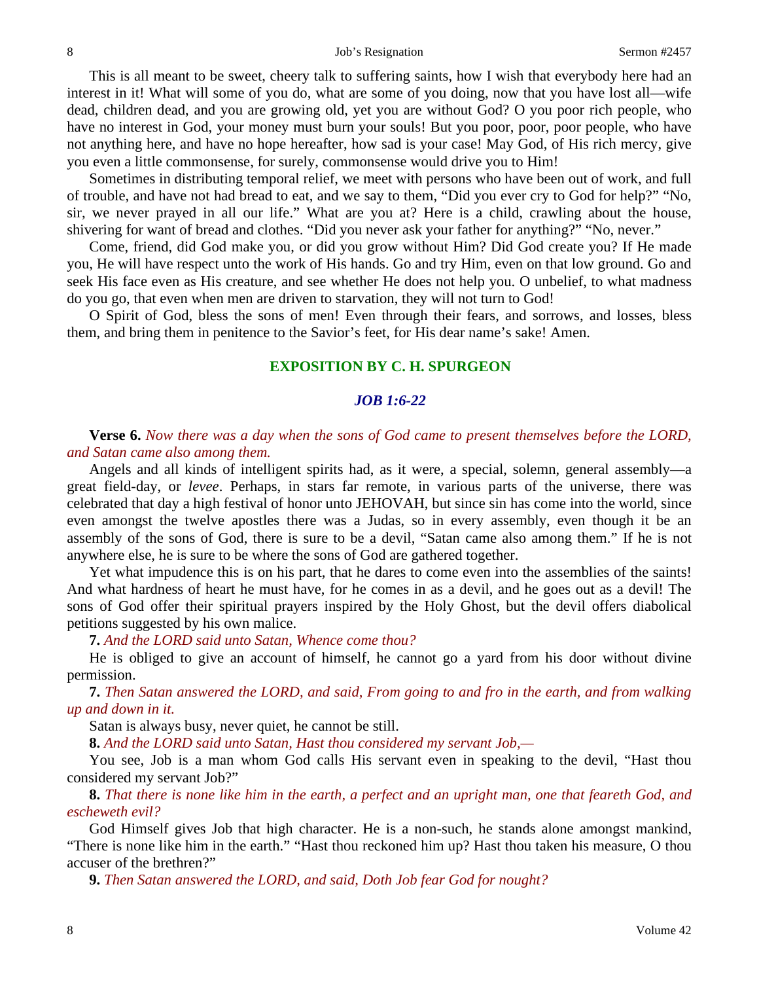This is all meant to be sweet, cheery talk to suffering saints, how I wish that everybody here had an interest in it! What will some of you do, what are some of you doing, now that you have lost all—wife dead, children dead, and you are growing old, yet you are without God? O you poor rich people, who have no interest in God, your money must burn your souls! But you poor, poor, poor people, who have not anything here, and have no hope hereafter, how sad is your case! May God, of His rich mercy, give you even a little commonsense, for surely, commonsense would drive you to Him!

Sometimes in distributing temporal relief, we meet with persons who have been out of work, and full of trouble, and have not had bread to eat, and we say to them, "Did you ever cry to God for help?" "No, sir, we never prayed in all our life." What are you at? Here is a child, crawling about the house, shivering for want of bread and clothes. "Did you never ask your father for anything?" "No, never."

Come, friend, did God make you, or did you grow without Him? Did God create you? If He made you, He will have respect unto the work of His hands. Go and try Him, even on that low ground. Go and seek His face even as His creature, and see whether He does not help you. O unbelief, to what madness do you go, that even when men are driven to starvation, they will not turn to God!

O Spirit of God, bless the sons of men! Even through their fears, and sorrows, and losses, bless them, and bring them in penitence to the Savior's feet, for His dear name's sake! Amen.

### **EXPOSITION BY C. H. SPURGEON**

### *JOB 1:6-22*

**Verse 6.** *Now there was a day when the sons of God came to present themselves before the LORD, and Satan came also among them.*

Angels and all kinds of intelligent spirits had, as it were, a special, solemn, general assembly—a great field-day, or *levee*. Perhaps, in stars far remote, in various parts of the universe, there was celebrated that day a high festival of honor unto JEHOVAH, but since sin has come into the world, since even amongst the twelve apostles there was a Judas, so in every assembly, even though it be an assembly of the sons of God, there is sure to be a devil, "Satan came also among them." If he is not anywhere else, he is sure to be where the sons of God are gathered together.

Yet what impudence this is on his part, that he dares to come even into the assemblies of the saints! And what hardness of heart he must have, for he comes in as a devil, and he goes out as a devil! The sons of God offer their spiritual prayers inspired by the Holy Ghost, but the devil offers diabolical petitions suggested by his own malice.

**7.** *And the LORD said unto Satan, Whence come thou?*

He is obliged to give an account of himself, he cannot go a yard from his door without divine permission.

**7.** *Then Satan answered the LORD, and said, From going to and fro in the earth, and from walking up and down in it.*

Satan is always busy, never quiet, he cannot be still.

**8.** *And the LORD said unto Satan, Hast thou considered my servant Job,—*

You see, Job is a man whom God calls His servant even in speaking to the devil, "Hast thou considered my servant Job?"

**8.** *That there is none like him in the earth, a perfect and an upright man, one that feareth God, and escheweth evil?*

God Himself gives Job that high character. He is a non-such, he stands alone amongst mankind, "There is none like him in the earth." "Hast thou reckoned him up? Hast thou taken his measure, O thou accuser of the brethren?"

**9.** *Then Satan answered the LORD, and said, Doth Job fear God for nought?*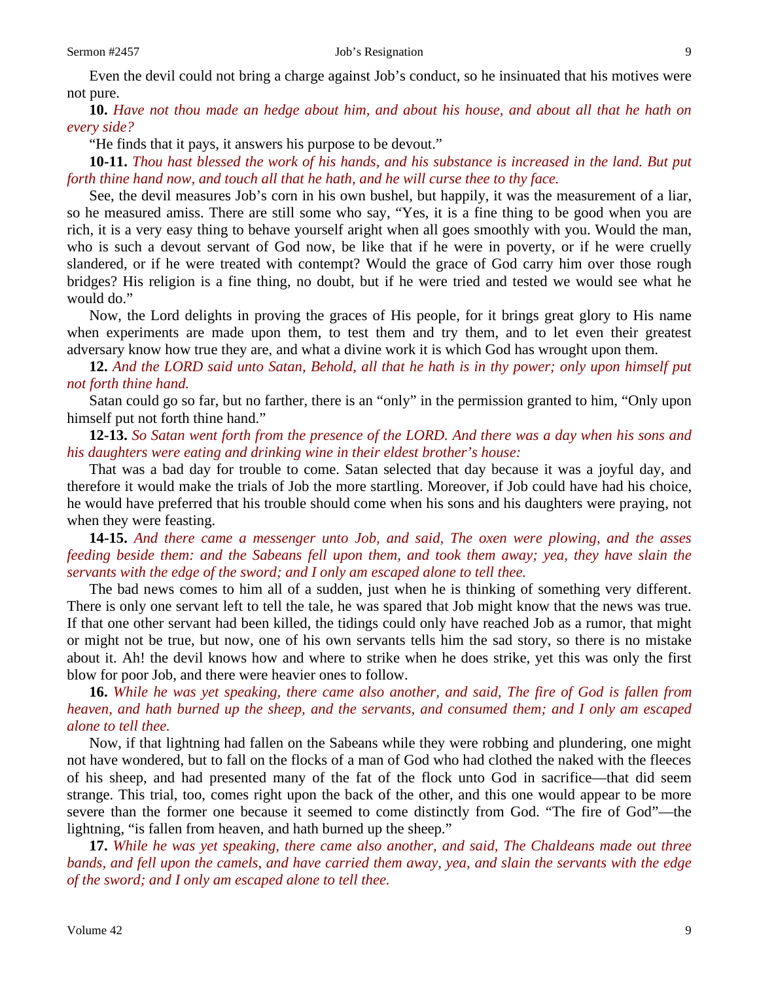**10.** *Have not thou made an hedge about him, and about his house, and about all that he hath on every side?*

"He finds that it pays, it answers his purpose to be devout."

**10-11.** *Thou hast blessed the work of his hands, and his substance is increased in the land. But put forth thine hand now, and touch all that he hath, and he will curse thee to thy face.*

See, the devil measures Job's corn in his own bushel, but happily, it was the measurement of a liar, so he measured amiss. There are still some who say, "Yes, it is a fine thing to be good when you are rich, it is a very easy thing to behave yourself aright when all goes smoothly with you. Would the man, who is such a devout servant of God now, be like that if he were in poverty, or if he were cruelly slandered, or if he were treated with contempt? Would the grace of God carry him over those rough bridges? His religion is a fine thing, no doubt, but if he were tried and tested we would see what he would do."

Now, the Lord delights in proving the graces of His people, for it brings great glory to His name when experiments are made upon them, to test them and try them, and to let even their greatest adversary know how true they are, and what a divine work it is which God has wrought upon them.

**12.** *And the LORD said unto Satan, Behold, all that he hath is in thy power; only upon himself put not forth thine hand.*

Satan could go so far, but no farther, there is an "only" in the permission granted to him, "Only upon himself put not forth thine hand."

**12-13.** *So Satan went forth from the presence of the LORD. And there was a day when his sons and his daughters were eating and drinking wine in their eldest brother's house:*

That was a bad day for trouble to come. Satan selected that day because it was a joyful day, and therefore it would make the trials of Job the more startling. Moreover, if Job could have had his choice, he would have preferred that his trouble should come when his sons and his daughters were praying, not when they were feasting.

**14-15.** *And there came a messenger unto Job, and said, The oxen were plowing, and the asses feeding beside them: and the Sabeans fell upon them, and took them away; yea, they have slain the servants with the edge of the sword; and I only am escaped alone to tell thee.*

The bad news comes to him all of a sudden, just when he is thinking of something very different. There is only one servant left to tell the tale, he was spared that Job might know that the news was true. If that one other servant had been killed, the tidings could only have reached Job as a rumor, that might or might not be true, but now, one of his own servants tells him the sad story, so there is no mistake about it. Ah! the devil knows how and where to strike when he does strike, yet this was only the first blow for poor Job, and there were heavier ones to follow.

## **16.** *While he was yet speaking, there came also another, and said, The fire of God is fallen from heaven, and hath burned up the sheep, and the servants, and consumed them; and I only am escaped alone to tell thee.*

Now, if that lightning had fallen on the Sabeans while they were robbing and plundering, one might not have wondered, but to fall on the flocks of a man of God who had clothed the naked with the fleeces of his sheep, and had presented many of the fat of the flock unto God in sacrifice—that did seem strange. This trial, too, comes right upon the back of the other, and this one would appear to be more severe than the former one because it seemed to come distinctly from God. "The fire of God"—the lightning, "is fallen from heaven, and hath burned up the sheep."

**17.** *While he was yet speaking, there came also another, and said, The Chaldeans made out three bands, and fell upon the camels, and have carried them away, yea, and slain the servants with the edge of the sword; and I only am escaped alone to tell thee.*